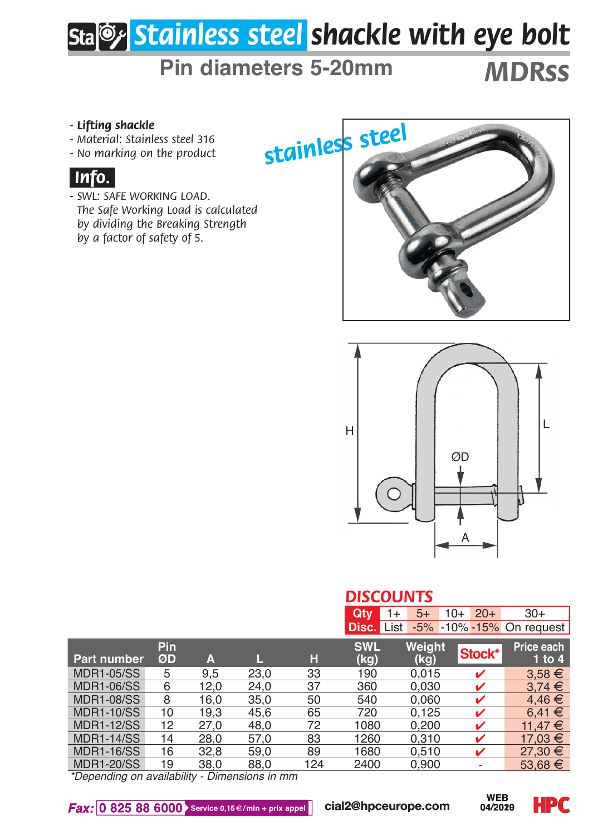# *Stainless steel shackle with eye bolt*

## **Pin diameters 5-20mm** *MDRss*

- 
- *Material: Stainless steel 316*
- *No marking on the product*







### *DISCOUNTS*

| - Lifting shackle<br>- Material: Stainless steel 316<br>- No marking on the product<br>Info.<br>- SWL: SAFE WORKING LOAD.<br>The Safe Working Load is calculated<br>by dividing the Breaking Strength<br>by a factor of safety of 5. |                |      |      |     | stainless steel       |                |                       |                          |
|--------------------------------------------------------------------------------------------------------------------------------------------------------------------------------------------------------------------------------------|----------------|------|------|-----|-----------------------|----------------|-----------------------|--------------------------|
|                                                                                                                                                                                                                                      |                |      |      |     | H<br><b>DISCOUNTS</b> |                | ØD                    | L                        |
|                                                                                                                                                                                                                                      |                |      |      |     | Qty<br>$\overline{1}$ | $5+$           | $20+$<br>$10+$        | $30+$                    |
|                                                                                                                                                                                                                                      |                |      |      |     | <b>Disc.</b> List     |                |                       | -5% -10% -15% On request |
| Part number                                                                                                                                                                                                                          | Pin<br>ØD      | A    | П.   | Н   | <b>SWL</b><br>(kg)    | Weight<br>(kg) | Stock*                | Price each<br>$1$ to $4$ |
| <b>MDR1-05/SS</b>                                                                                                                                                                                                                    | $\overline{5}$ | 9,5  | 23,0 | 33  | 190                   | 0,015          | v                     | $3,58 \in$               |
| <b>MDR1-06/SS</b>                                                                                                                                                                                                                    | $\overline{6}$ | 12,0 | 24,0 | 37  | 360                   | 0,030          | v                     | $3,74 \in$               |
| <b>MDR1-08/SS</b>                                                                                                                                                                                                                    | 8              | 16,0 | 35,0 | 50  | 540                   | 0,060          | v                     | 4,46€                    |
| <b>MDR1-10/SS</b>                                                                                                                                                                                                                    | 10             | 19,3 | 45,6 | 65  | 720                   | 0,125          | v                     | 6,41 €                   |
| <b>MDR1-12/SS</b>                                                                                                                                                                                                                    | 12             | 27,0 | 48,0 | 72  | 1080                  | 0,200          | v                     | 11,47 €                  |
| <b>MDR1-14/SS</b>                                                                                                                                                                                                                    | 14             | 28,0 | 57,0 | 83  | 1260                  | 0,310          | ✓                     | 17,03 €                  |
| <b>MDR1-16/SS</b>                                                                                                                                                                                                                    | 16             | 32,8 | 59,0 | 89  | 1680                  | 0,510          | v                     | 27,30 €                  |
| <b>MDR1-20/SS</b>                                                                                                                                                                                                                    | 19             | 38.0 | 88,0 | 124 | 2400                  | 0,900          | ä,                    | 53,68 €                  |
| *Depending on availability - Dimensions in mm<br>$\textit{Fax: } 0.825.88.6000$ Service 0,15 $\in$ /min + prix appel                                                                                                                 |                |      |      |     | cial2@hpceurope.com   |                | <b>WEB</b><br>04/2029 | H 20                     |